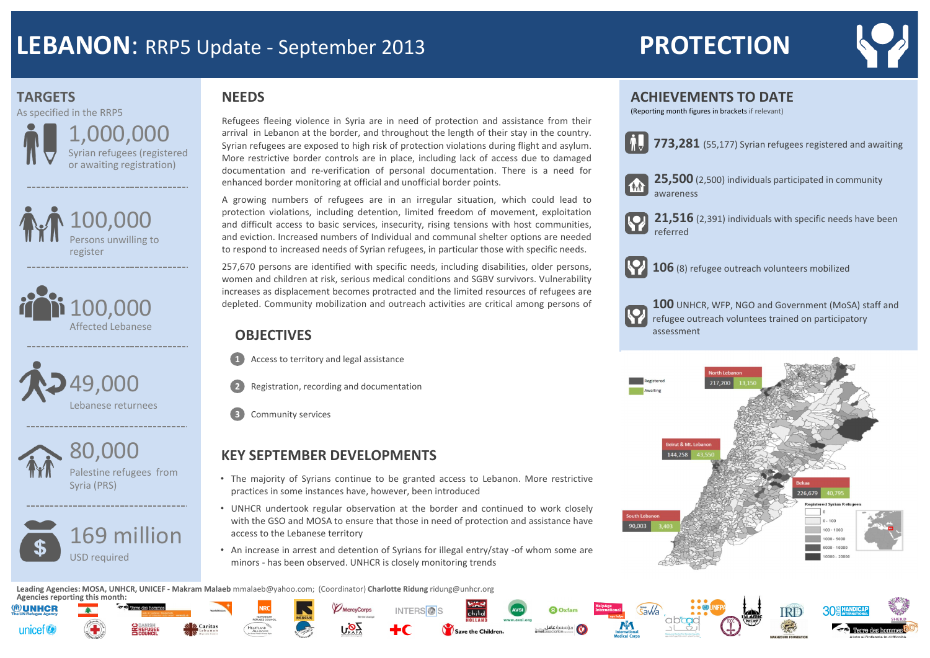







80,000 Palestine refugees from Syria (PRS)



Refugees fleeing violence in Syria are in need of protection and assistance from their arrival in Lebanon at the border, and throughout the length of their stay in the country. Syrian refugees are exposed to high risk of protection violations during flight and asylum. More restrictive border controls are in place, including lack of access due to damaged documentation and re-verification of personal documentation. There is a need for enhanced border monitoring at official and unofficial border points.

A growing numbers of refugees are in an irregular situation, which could lead to protection violations, including detention, limited freedom of movement, exploitation and difficult access to basic services, insecurity, rising tensions with host communities, and eviction. Increased numbers of Individual and communal shelter options are needed to respond to increased needs of Syrian refugees, in particular those with specific needs.



257,670 persons are identified with specific needs, including disabilities, older persons, women and children at risk, serious medical conditions and SGBV survivors. Vulnerability increases as displacement becomes protracted and the limited resources of refugees are depleted. Community mobilization and outreach activities are critical among persons of

### **ACHIEVEMENTS TO DATE**  (Reporting month figures in brackets if relevant)

### **OBJECTIVES**

**1** Access to territory and legal assistance



- **2** Registration, recording and documentation
- **3** Community services

### **NEEDS**

**Leading Agencies: MOSA, UNHCR, UNICEF - Makram Malaeb** mmalaeb@yahoo.com; (Coordinator) **Charlotte Ridung** ridung@unhcr.org







MercyCorps







**1111** 

**25,500** (2,500) individuals participated in community

**21,516** (2,391) individuals with specific needs have been

awareness

**773,281** (55,177) Syrian refugees registered and awaiting

- The majority of Syrians continue to be granted access to Lebanon. More restrictive practices in some instances have, however, been introduced
- UNHCR undertook regular observation at the border and continued to work closely with the GSO and MOSA to ensure that those in need of protection and assistance have access to the Lebanese territory
- An increase in arrest and detention of Syrians for illegal entry/stay -of whom some are minors - has been observed. UNHCR is closely monitoring trends

### **KEY SEPTEMBER DEVELOPMENTS**

# **LEBANON**: RRP5 Update - September 2013 PROTECTION

# **TARGETS**

referred

**106** (8) refugee outreach volunteers mobilized

**100** UNHCR, WFP, NGO and Government (MoSA) staff and refugee outreach voluntees trained on participatory